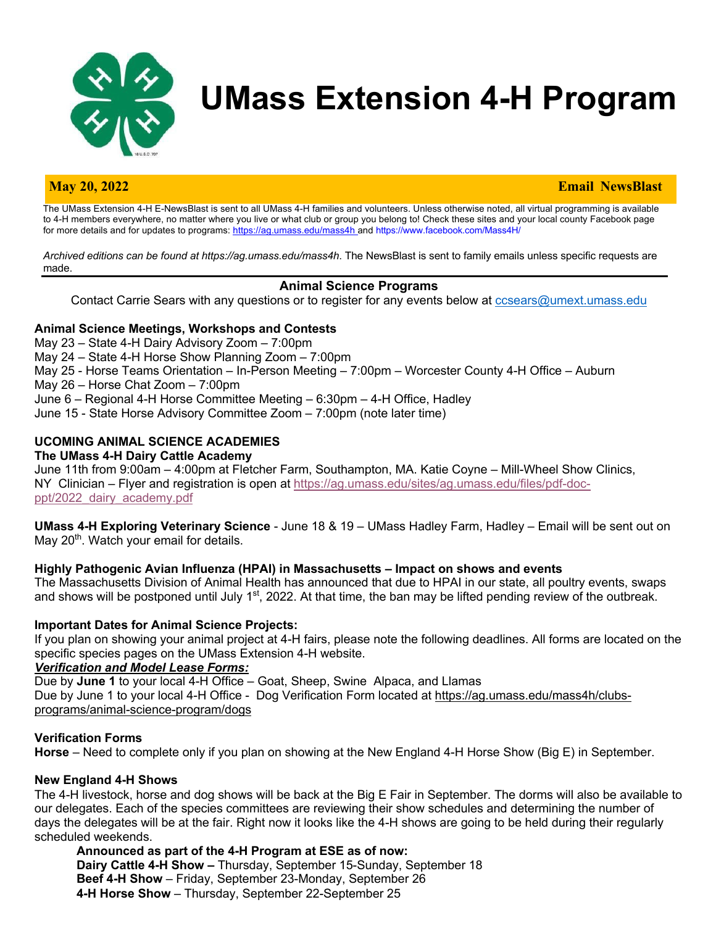

# **UMass Extension 4-H Program**

#### **May 20, 2022 Email NewsBlast**

The UMass Extension 4-H E-NewsBlast is sent to all UMass 4-H families and volunteers. Unless otherwise noted, all virtual programming is available to 4-H members everywhere, no matter where you live or what club or group you belong to! Check these sites and your local county Facebook page for more details and for updates to programs: https://ag.umass.edu/mass4h and https://www.facebook.com/Mass4H/

*Archived editions can be found at https://ag.umass.edu/mass4h*. The NewsBlast is sent to family emails unless specific requests are made.

### **Animal Science Programs**

Contact Carrie Sears with any questions or to register for any events below at ccsears@umext.umass.edu

#### **Animal Science Meetings, Workshops and Contests**

May 23 – State 4-H Dairy Advisory Zoom – 7:00pm May 24 – State 4-H Horse Show Planning Zoom – 7:00pm May 25 - Horse Teams Orientation – In-Person Meeting – 7:00pm – Worcester County 4-H Office – Auburn May 26 – Horse Chat Zoom – 7:00pm June 6 – Regional 4-H Horse Committee Meeting – 6:30pm – 4-H Office, Hadley June 15 - State Horse Advisory Committee Zoom – 7:00pm (note later time)

# **UCOMING ANIMAL SCIENCE ACADEMIES**

#### **The UMass 4-H Dairy Cattle Academy**

June 11th from 9:00am – 4:00pm at Fletcher Farm, Southampton, MA. Katie Coyne – Mill-Wheel Show Clinics, NY Clinician – Flyer and registration is open at https://ag.umass.edu/sites/ag.umass.edu/files/pdf-docppt/2022\_dairy\_academy.pdf

**UMass 4-H Exploring Veterinary Science** - June 18 & 19 – UMass Hadley Farm, Hadley – Email will be sent out on May 20<sup>th</sup>. Watch your email for details.

#### **Highly Pathogenic Avian Influenza (HPAI) in Massachusetts – Impact on shows and events**

The Massachusetts Division of Animal Health has announced that due to HPAI in our state, all poultry events, swaps and shows will be postponed until July 1<sup>st</sup>, 2022. At that time, the ban may be lifted pending review of the outbreak.

#### **Important Dates for Animal Science Projects:**

If you plan on showing your animal project at 4-H fairs, please note the following deadlines. All forms are located on the specific species pages on the UMass Extension 4-H website.

#### *Verification and Model Lease Forms:*

Due by **June 1** to your local 4-H Office – Goat, Sheep, Swine Alpaca, and Llamas Due by June 1 to your local 4-H Office - Dog Verification Form located at https://ag.umass.edu/mass4h/clubsprograms/animal-science-program/dogs

#### **Verification Forms**

**Horse** – Need to complete only if you plan on showing at the New England 4-H Horse Show (Big E) in September.

#### **New England 4-H Shows**

The 4-H livestock, horse and dog shows will be back at the Big E Fair in September. The dorms will also be available to our delegates. Each of the species committees are reviewing their show schedules and determining the number of days the delegates will be at the fair. Right now it looks like the 4-H shows are going to be held during their regularly scheduled weekends.

**Announced as part of the 4-H Program at ESE as of now: Dairy Cattle 4-H Show –** Thursday, September 15-Sunday, September 18 **Beef 4-H Show** – Friday, September 23-Monday, September 26 **4-H Horse Show** – Thursday, September 22-September 25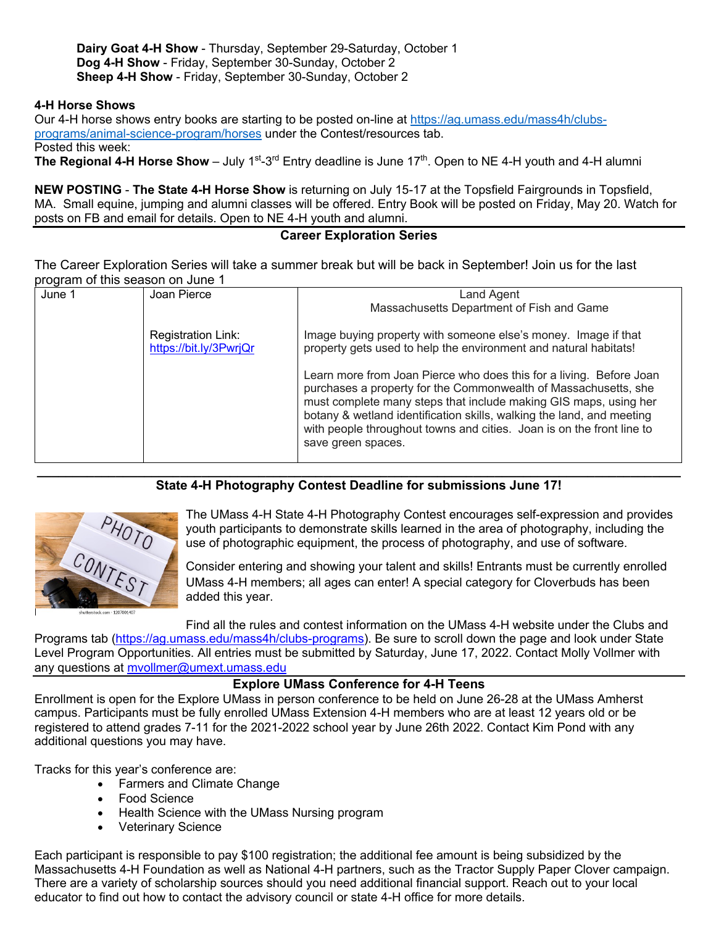**Dairy Goat 4-H Show** - Thursday, September 29-Saturday, October 1 **Dog 4-H Show** - Friday, September 30-Sunday, October 2 **Sheep 4-H Show** - Friday, September 30-Sunday, October 2

#### **4-H Horse Shows**

Our 4-H horse shows entry books are starting to be posted on-line at https://ag.umass.edu/mass4h/clubsprograms/animal-science-program/horses under the Contest/resources tab.

Posted this week:

**The Regional 4-H Horse Show** – July 1<sup>st</sup>-3<sup>rd</sup> Entry deadline is June 17<sup>th</sup>. Open to NE 4-H youth and 4-H alumni

**NEW POSTING** - **The State 4-H Horse Show** is returning on July 15-17 at the Topsfield Fairgrounds in Topsfield, MA. Small equine, jumping and alumni classes will be offered. Entry Book will be posted on Friday, May 20. Watch for posts on FB and email for details. Open to NE 4-H youth and alumni.

### **Career Exploration Series**

The Career Exploration Series will take a summer break but will be back in September! Join us for the last program of this season on June 1

| June 1 | Joan Pierce               | Land Agent                                                                                                                                                                                                                                                                                                                                                                         |
|--------|---------------------------|------------------------------------------------------------------------------------------------------------------------------------------------------------------------------------------------------------------------------------------------------------------------------------------------------------------------------------------------------------------------------------|
|        |                           | Massachusetts Department of Fish and Game                                                                                                                                                                                                                                                                                                                                          |
|        | <b>Registration Link:</b> | Image buying property with someone else's money. Image if that                                                                                                                                                                                                                                                                                                                     |
|        | https://bit.ly/3PwrjQr    | property gets used to help the environment and natural habitats!                                                                                                                                                                                                                                                                                                                   |
|        |                           | Learn more from Joan Pierce who does this for a living. Before Joan<br>purchases a property for the Commonwealth of Massachusetts, she<br>must complete many steps that include making GIS maps, using her<br>botany & wetland identification skills, walking the land, and meeting<br>with people throughout towns and cities. Joan is on the front line to<br>save green spaces. |

#### **\_\_\_\_\_\_\_\_\_\_\_\_\_\_\_\_\_\_\_\_\_\_\_\_\_\_\_\_\_\_\_\_\_\_\_\_\_\_\_\_\_\_\_\_\_\_\_\_\_\_\_\_\_\_\_\_\_\_\_\_\_\_\_\_\_\_\_\_\_\_\_\_\_\_\_\_\_\_\_\_\_\_\_\_\_\_\_\_\_\_ State 4-H Photography Contest Deadline for submissions June 17!**



The UMass 4-H State 4-H Photography Contest encourages self-expression and provides youth participants to demonstrate skills learned in the area of photography, including the use of photographic equipment, the process of photography, and use of software.

Consider entering and showing your talent and skills! Entrants must be currently enrolled UMass 4-H members; all ages can enter! A special category for Cloverbuds has been added this year.

Find all the rules and contest information on the UMass 4-H website under the Clubs and

Programs tab (https://ag.umass.edu/mass4h/clubs-programs). Be sure to scroll down the page and look under State Level Program Opportunities. All entries must be submitted by Saturday, June 17, 2022. Contact Molly Vollmer with any questions at myollmer@umext.umass.edu

# **Explore UMass Conference for 4-H Teens**

Enrollment is open for the Explore UMass in person conference to be held on June 26-28 at the UMass Amherst campus. Participants must be fully enrolled UMass Extension 4-H members who are at least 12 years old or be registered to attend grades 7-11 for the 2021-2022 school year by June 26th 2022. Contact Kim Pond with any additional questions you may have.

Tracks for this year's conference are:

- Farmers and Climate Change
- Food Science
- Health Science with the UMass Nursing program
- Veterinary Science

Each participant is responsible to pay \$100 registration; the additional fee amount is being subsidized by the Massachusetts 4-H Foundation as well as National 4-H partners, such as the Tractor Supply Paper Clover campaign. There are a variety of scholarship sources should you need additional financial support. Reach out to your local educator to find out how to contact the advisory council or state 4-H office for more details.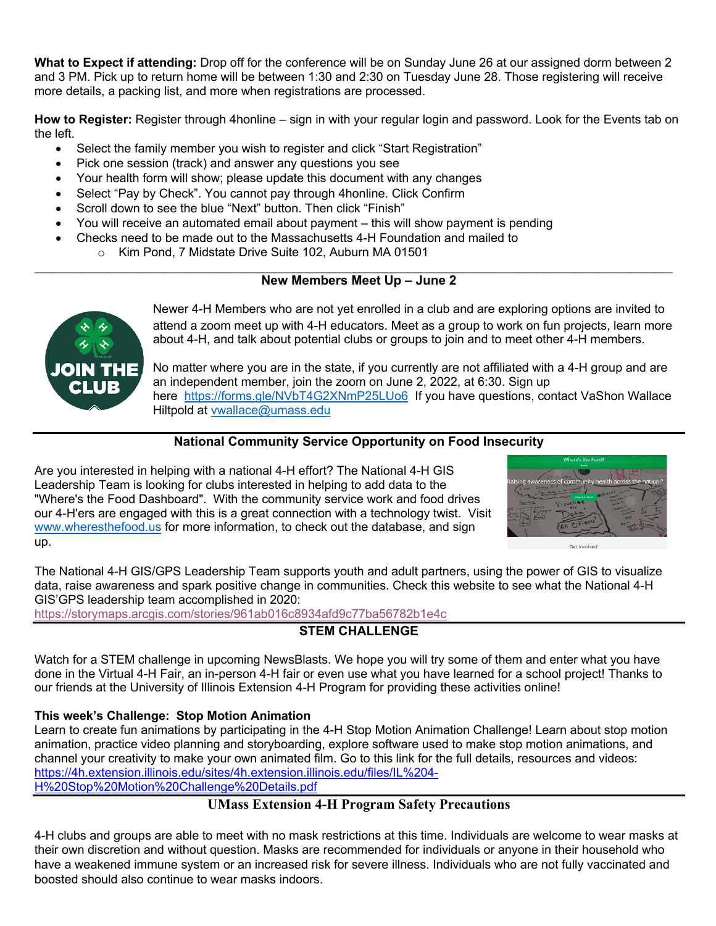**What to Expect if attending:** Drop off for the conference will be on Sunday June 26 at our assigned dorm between 2 and 3 PM. Pick up to return home will be between 1:30 and 2:30 on Tuesday June 28. Those registering will receive more details, a packing list, and more when registrations are processed.

**How to Register:** Register through 4honline – sign in with your regular login and password. Look for the Events tab on the left.

- Select the family member you wish to register and click "Start Registration"
- Pick one session (track) and answer any questions you see
- Your health form will show; please update this document with any changes
- Select "Pay by Check". You cannot pay through 4honline. Click Confirm
- Scroll down to see the blue "Next" button. Then click "Finish"
- You will receive an automated email about payment this will show payment is pending
- Checks need to be made out to the Massachusetts 4-H Foundation and mailed to
	- o Kim Pond, 7 Midstate Drive Suite 102, Auburn MA 01501

#### $\mathcal{L}_\text{max} = \frac{1}{2} \sum_{i=1}^n \mathcal{L}_\text{max} = \frac{1}{2} \sum_{i=1}^n \mathcal{L}_\text{max} = \frac{1}{2} \sum_{i=1}^n \mathcal{L}_\text{max} = \frac{1}{2} \sum_{i=1}^n \mathcal{L}_\text{max} = \frac{1}{2} \sum_{i=1}^n \mathcal{L}_\text{max} = \frac{1}{2} \sum_{i=1}^n \mathcal{L}_\text{max} = \frac{1}{2} \sum_{i=1}^n \mathcal{L}_\text{max} = \frac{1}{2} \sum_{i=$ **New Members Meet Up – June 2**



Newer 4-H Members who are not yet enrolled in a club and are exploring options are invited to attend a zoom meet up with 4-H educators. Meet as a group to work on fun projects, learn more about 4-H, and talk about potential clubs or groups to join and to meet other 4-H members.

No matter where you are in the state, if you currently are not affiliated with a 4-H group and are an independent member, join the zoom on June 2, 2022, at 6:30. Sign up here https://forms.gle/NVbT4G2XNmP25LUo6 If you have questions, contact VaShon Wallace Hiltpold at vwallace@umass.edu

# **National Community Service Opportunity on Food Insecurity**

Are you interested in helping with a national 4-H effort? The National 4-H GIS Leadership Team is looking for clubs interested in helping to add data to the "Where's the Food Dashboard". With the community service work and food drives our 4-H'ers are engaged with this is a great connection with a technology twist. Visit www.wheresthefood.us for more information, to check out the database, and sign up.



The National 4-H GIS/GPS Leadership Team supports youth and adult partners, using the power of GIS to visualize data, raise awareness and spark positive change in communities. Check this website to see what the National 4-H GIS'GPS leadership team accomplished in 2020:

https://storymaps.arcgis.com/stories/961ab016c8934afd9c77ba56782b1e4c

# **STEM CHALLENGE**

Watch for a STEM challenge in upcoming NewsBlasts. We hope you will try some of them and enter what you have done in the Virtual 4-H Fair, an in-person 4-H fair or even use what you have learned for a school project! Thanks to our friends at the University of Illinois Extension 4-H Program for providing these activities online!

# **This week's Challenge: Stop Motion Animation**

Learn to create fun animations by participating in the 4-H Stop Motion Animation Challenge! Learn about stop motion animation, practice video planning and storyboarding, explore software used to make stop motion animations, and channel your creativity to make your own animated film. Go to this link for the full details, resources and videos: https://4h.extension.illinois.edu/sites/4h.extension.illinois.edu/files/IL%204- H%20Stop%20Motion%20Challenge%20Details.pdf

# **UMass Extension 4-H Program Safety Precautions**

4-H clubs and groups are able to meet with no mask restrictions at this time. Individuals are welcome to wear masks at their own discretion and without question. Masks are recommended for individuals or anyone in their household who have a weakened immune system or an increased risk for severe illness. Individuals who are not fully vaccinated and boosted should also continue to wear masks indoors.